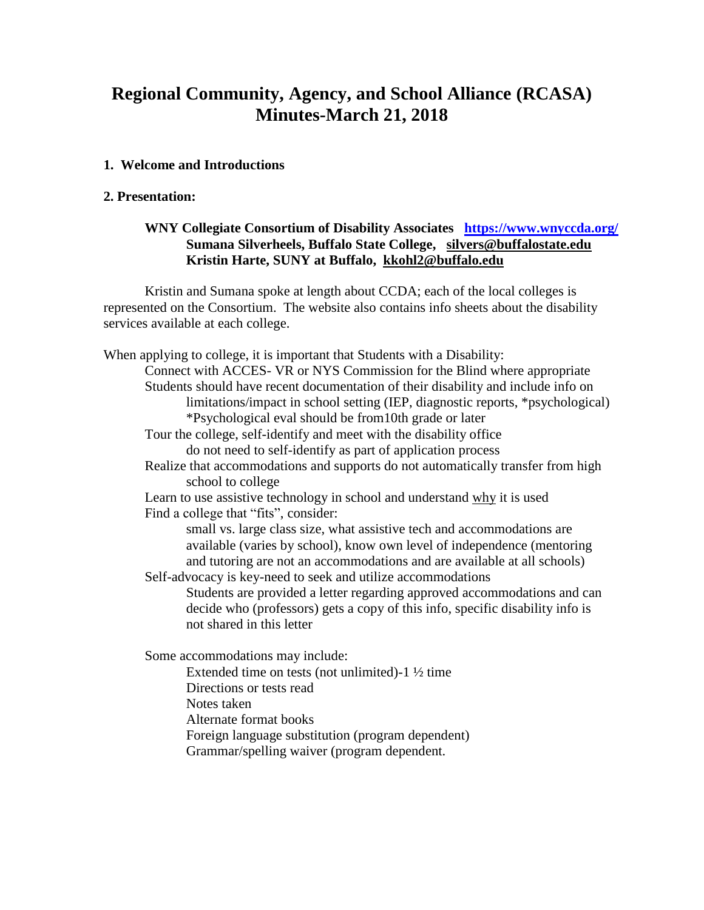# **Regional Community, Agency, and School Alliance (RCASA) Minutes-March 21, 2018**

### **1. Welcome and Introductions**

#### **2. Presentation:**

# **WNY Collegiate Consortium of Disability Associates <https://www.wnyccda.org/> Sumana Silverheels, Buffalo State College, [silvers@buffalostate.edu](mailto:silvers@buffalostate.edu) Kristin Harte, SUNY at Buffalo, [kkohl2@buffalo.edu](mailto:kkohl2@buffalo.edu)**

Kristin and Sumana spoke at length about CCDA; each of the local colleges is represented on the Consortium. The website also contains info sheets about the disability services available at each college.

When applying to college, it is important that Students with a Disability: Connect with ACCES- VR or NYS Commission for the Blind where appropriate Students should have recent documentation of their disability and include info on limitations/impact in school setting (IEP, diagnostic reports, \*psychological) \*Psychological eval should be from10th grade or later Tour the college, self-identify and meet with the disability office do not need to self-identify as part of application process Realize that accommodations and supports do not automatically transfer from high school to college Learn to use assistive technology in school and understand why it is used Find a college that "fits", consider: small vs. large class size, what assistive tech and accommodations are available (varies by school), know own level of independence (mentoring and tutoring are not an accommodations and are available at all schools) Self-advocacy is key-need to seek and utilize accommodations Students are provided a letter regarding approved accommodations and can decide who (professors) gets a copy of this info, specific disability info is not shared in this letter Some accommodations may include: Extended time on tests (not unlimited)-1 ½ time Directions or tests read Notes taken Alternate format books Foreign language substitution (program dependent)

Grammar/spelling waiver (program dependent.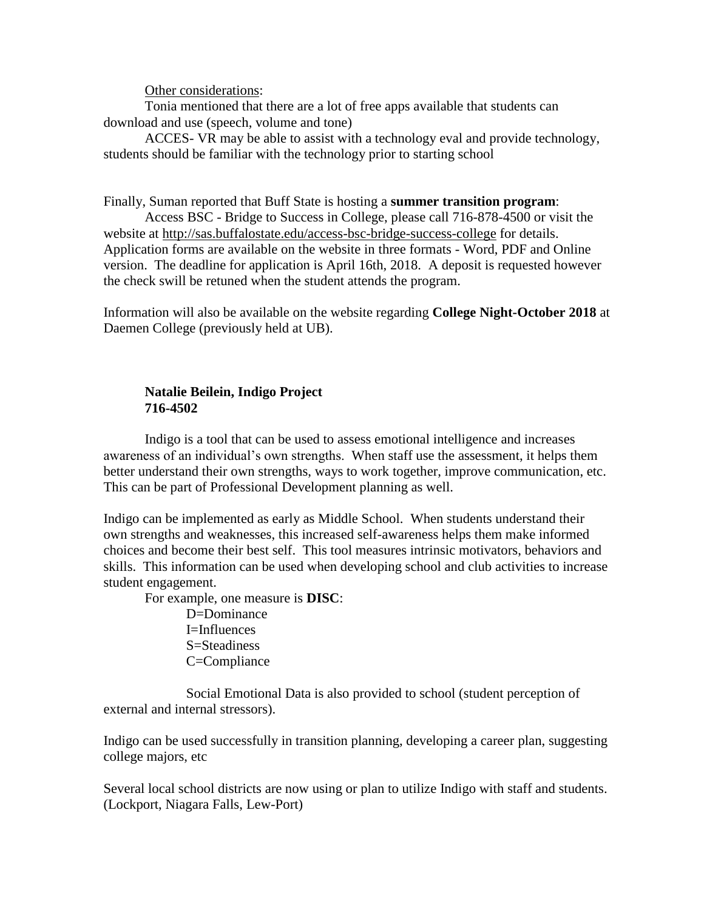Other considerations:

Tonia mentioned that there are a lot of free apps available that students can download and use (speech, volume and tone)

ACCES- VR may be able to assist with a technology eval and provide technology, students should be familiar with the technology prior to starting school

#### Finally, Suman reported that Buff State is hosting a **summer transition program**:

Access BSC - Bridge to Success in College, please call 716-878-4500 or visit the website at<http://sas.buffalostate.edu/access-bsc-bridge-success-college> for details. Application forms are available on the website in three formats - Word, PDF and Online version. The deadline for application is April 16th, 2018. A deposit is requested however the check swill be retuned when the student attends the program.

Information will also be available on the website regarding **College Night-October 2018** at Daemen College (previously held at UB).

# **Natalie Beilein, Indigo Project 716-4502**

Indigo is a tool that can be used to assess emotional intelligence and increases awareness of an individual's own strengths. When staff use the assessment, it helps them better understand their own strengths, ways to work together, improve communication, etc. This can be part of Professional Development planning as well.

Indigo can be implemented as early as Middle School. When students understand their own strengths and weaknesses, this increased self-awareness helps them make informed choices and become their best self. This tool measures intrinsic motivators, behaviors and skills. This information can be used when developing school and club activities to increase student engagement.

For example, one measure is **DISC**:

D=Dominance I=Influences S=Steadiness C=Compliance

Social Emotional Data is also provided to school (student perception of external and internal stressors).

Indigo can be used successfully in transition planning, developing a career plan, suggesting college majors, etc

Several local school districts are now using or plan to utilize Indigo with staff and students. (Lockport, Niagara Falls, Lew-Port)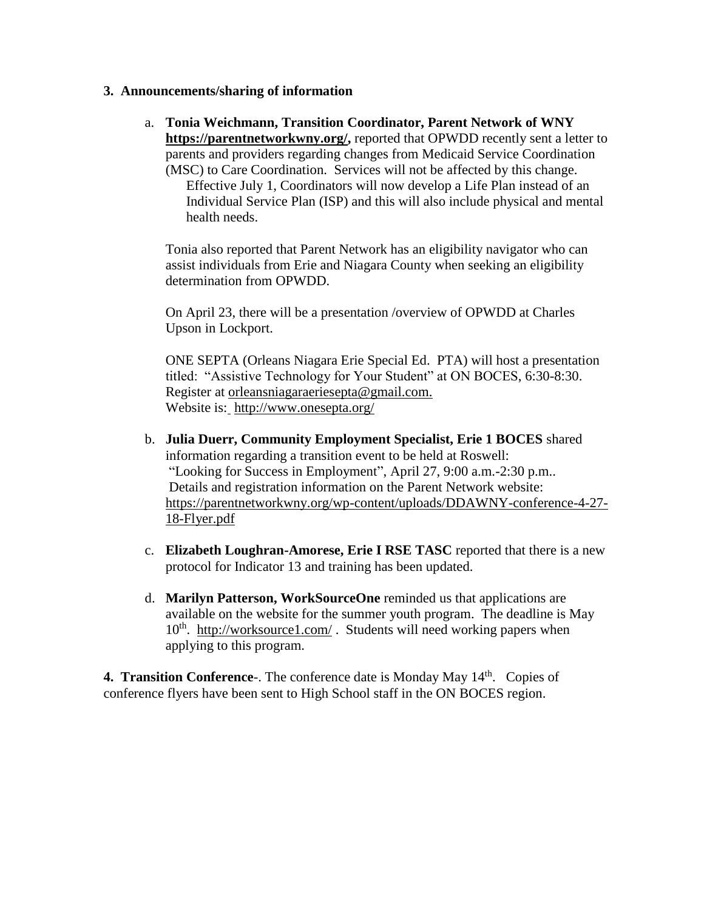# **3. Announcements/sharing of information**

a. **Tonia Weichmann, Transition Coordinator, Parent Network of WNY [https://parentnetworkwny.org/,](https://parentnetworkwny.org/)** reported that OPWDD recently sent a letter to parents and providers regarding changes from Medicaid Service Coordination (MSC) to Care Coordination. Services will not be affected by this change.

Effective July 1, Coordinators will now develop a Life Plan instead of an Individual Service Plan (ISP) and this will also include physical and mental health needs.

Tonia also reported that Parent Network has an eligibility navigator who can assist individuals from Erie and Niagara County when seeking an eligibility determination from OPWDD.

On April 23, there will be a presentation /overview of OPWDD at Charles Upson in Lockport.

ONE SEPTA (Orleans Niagara Erie Special Ed. PTA) will host a presentation titled: "Assistive Technology for Your Student" at ON BOCES, 6:30-8:30. Register at [orleansniagaraeriesepta@gmail.com.](mailto:orleansniagaraeriesepta@gmail.com) Website is: <http://www.onesepta.org/>

- b. **Julia Duerr, Community Employment Specialist, Erie 1 BOCES** shared information regarding a transition event to be held at Roswell: "Looking for Success in Employment", April 27, 9:00 a.m.-2:30 p.m.. Details and registration information on the Parent Network website: [https://parentnetworkwny.org/wp-content/uploads/DDAWNY-conference-4-27-](https://parentnetworkwny.org/wp-content/uploads/DDAWNY-conference-4-27-18-Flyer.pdf) [18-Flyer.pdf](https://parentnetworkwny.org/wp-content/uploads/DDAWNY-conference-4-27-18-Flyer.pdf)
- c. **Elizabeth Loughran-Amorese, Erie I RSE TASC** reported that there is a new protocol for Indicator 13 and training has been updated.
- d. **Marilyn Patterson, WorkSourceOne** reminded us that applications are available on the website for the summer youth program. The deadline is May 10<sup>th</sup>. <http://worksource1.com/>. Students will need working papers when applying to this program.

**4. Transition Conference**-. The conference date is Monday May 14<sup>th</sup>. Copies of conference flyers have been sent to High School staff in the ON BOCES region.